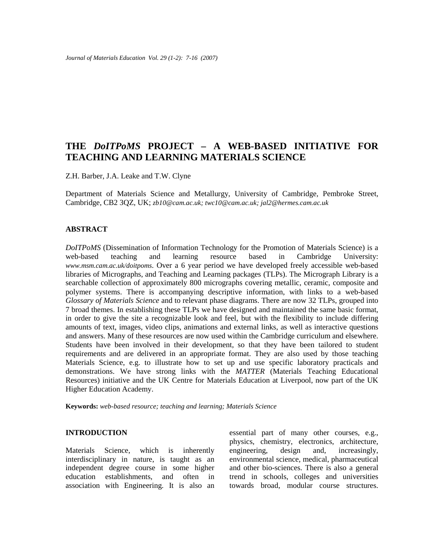# **THE** *DoITPoMS* **PROJECT – A WEB-BASED INITIATIVE FOR TEACHING AND LEARNING MATERIALS SCIENCE**

Z.H. Barber, J.A. Leake and T.W. Clyne

Department of Materials Science and Metallurgy, University of Cambridge, Pembroke Street, Cambridge, CB2 3QZ, UK; *zb10@cam.ac.uk; twc10@cam.ac.uk; jal2@hermes.cam.ac.uk*

#### **ABSTRACT**

*DoITPoMS* (Dissemination of Information Technology for the Promotion of Materials Science) is a web-based teaching and learning resource based in Cambridge University: *www.msm.cam.ac.uk/doitpoms*. Over a 6 year period we have developed freely accessible web-based libraries of Micrographs, and Teaching and Learning packages (TLPs). The Micrograph Library is a searchable collection of approximately 800 micrographs covering metallic, ceramic, composite and polymer systems. There is accompanying descriptive information, with links to a web-based *Glossary of Materials Science* and to relevant phase diagrams. There are now 32 TLPs, grouped into 7 broad themes. In establishing these TLPs we have designed and maintained the same basic format, in order to give the site a recognizable look and feel, but with the flexibility to include differing amounts of text, images, video clips, animations and external links, as well as interactive questions and answers. Many of these resources are now used within the Cambridge curriculum and elsewhere. Students have been involved in their development, so that they have been tailored to student requirements and are delivered in an appropriate format. They are also used by those teaching Materials Science, e.g. to illustrate how to set up and use specific laboratory practicals and demonstrations. We have strong links with the *MATTER* (Materials Teaching Educational Resources) initiative and the UK Centre for Materials Education at Liverpool, now part of the UK Higher Education Academy.

**Keywords:** *web-based resource; teaching and learning; Materials Science* 

# **INTRODUCTION**

Materials Science, which is inherently interdisciplinary in nature, is taught as an independent degree course in some higher education establishments, and often in association with Engineering. It is also an

essential part of many other courses, e.g., physics, chemistry, electronics, architecture, engineering, design and, increasingly, environmental science, medical, pharmaceutical and other bio-sciences. There is also a general trend in schools, colleges and universities towards broad, modular course structures.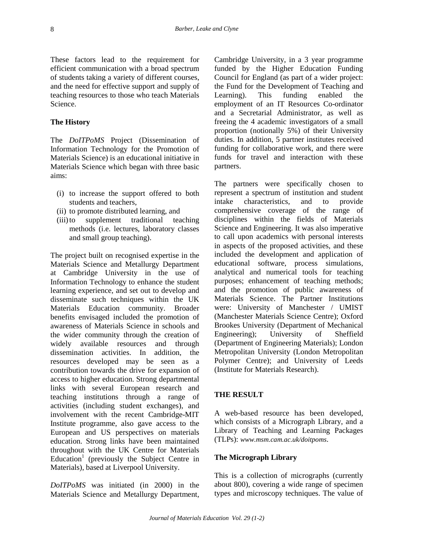These factors lead to the requirement for efficient communication with a broad spectrum of students taking a variety of different courses, and the need for effective support and supply of teaching resources to those who teach Materials Science.

#### **The History**

The *DoITPoMS* Project (Dissemination of Information Technology for the Promotion of Materials Science) is an educational initiative in Materials Science which began with three basic aims:

- (i) to increase the support offered to both students and teachers,
- (ii) to promote distributed learning, and
- (iii)to supplement traditional teaching methods (i.e. lectures, laboratory classes and small group teaching).

The project built on recognised expertise in the Materials Science and Metallurgy Department at Cambridge University in the use of Information Technology to enhance the student learning experience, and set out to develop and disseminate such techniques within the UK Materials Education community. Broader benefits envisaged included the promotion of awareness of Materials Science in schools and the wider community through the creation of widely available resources and through dissemination activities. In addition, the resources developed may be seen as a contribution towards the drive for expansion of access to higher education. Strong departmental links with several European research and teaching institutions through a range of activities (including student exchanges), and involvement with the recent Cambridge-MIT Institute programme, also gave access to the European and US perspectives on materials education. Strong links have been maintained throughout with the UK Centre for Materials Education<sup>1</sup> (previously the Subject Centre in Materials), based at Liverpool University.

*DoITPoMS* was initiated (in 2000) in the Materials Science and Metallurgy Department, Cambridge University, in a 3 year programme funded by the Higher Education Funding Council for England (as part of a wider project: the Fund for the Development of Teaching and Learning). This funding enabled the employment of an IT Resources Co-ordinator and a Secretarial Administrator, as well as freeing the 4 academic investigators of a small proportion (notionally 5%) of their University duties. In addition, 5 partner institutes received funding for collaborative work, and there were funds for travel and interaction with these partners.

The partners were specifically chosen to represent a spectrum of institution and student intake characteristics, and to provide comprehensive coverage of the range of disciplines within the fields of Materials Science and Engineering. It was also imperative to call upon academics with personal interests in aspects of the proposed activities, and these included the development and application of educational software, process simulations, analytical and numerical tools for teaching purposes; enhancement of teaching methods; and the promotion of public awareness of Materials Science. The Partner Institutions were: University of Manchester / UMIST (Manchester Materials Science Centre); Oxford Brookes University (Department of Mechanical Engineering); University of Sheffield (Department of Engineering Materials); London Metropolitan University (London Metropolitan Polymer Centre); and University of Leeds (Institute for Materials Research).

#### **THE RESULT**

A web-based resource has been developed, which consists of a Micrograph Library, and a Library of Teaching and Learning Packages (TLPs): *www.msm.cam.ac.uk/doitpoms*.

#### **The Micrograph Library**

This is a collection of micrographs (currently about 800), covering a wide range of specimen types and microscopy techniques. The value of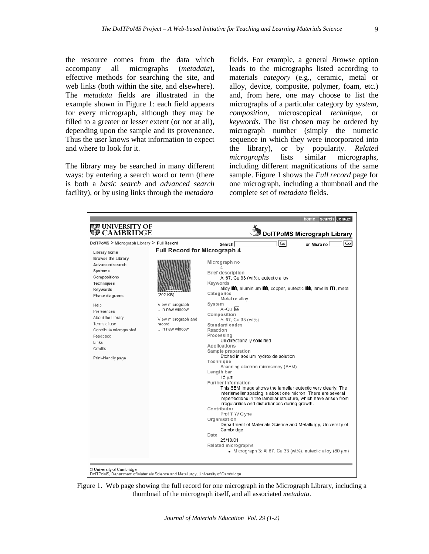the resource comes from the data which accompany all micrographs (*metadata*), effective methods for searching the site, and web links (both within the site, and elsewhere). The *metadata* fields are illustrated in the example shown in Figure 1: each field appears for every micrograph, although they may be filled to a greater or lesser extent (or not at all), depending upon the sample and its provenance. Thus the user knows what information to expect and where to look for it.

The library may be searched in many different ways: by entering a search word or term (there is both a *basic search* and *advanced search* facility), or by using links through the *metadata*

fields. For example, a general *Browse* option leads to the micrographs listed according to materials *category* (e.g., ceramic, metal or alloy, device, composite, polymer, foam, etc.) and, from here, one may choose to list the micrographs of a particular category by *system*, *composition*, microscopical *technique*, or *keywords*. The list chosen may be ordered by micrograph number (simply the numeric sequence in which they were incorporated into the library), or by popularity. *Related micrographs* lists similar micrographs, including different magnifications of the same sample. Figure 1 shows the *Full record* page for one micrograph, including a thumbnail and the complete set of *metadata* fields.



Figure 1. Web page showing the full record for one micrograph in the Micrograph Library, including a thumbnail of the micrograph itself, and all associated *metadata*.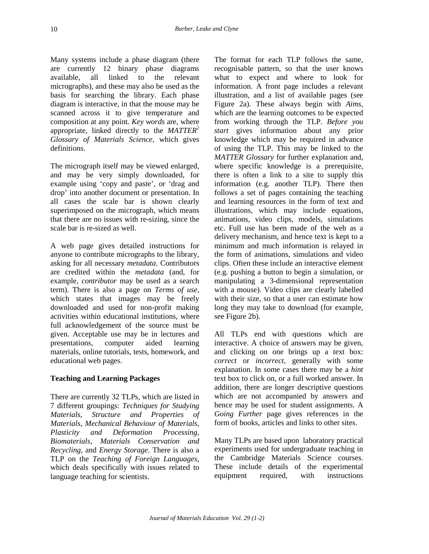Many systems include a phase diagram (there are currently 12 binary phase diagrams available, all linked to the relevant micrographs), and these may also be used as the basis for searching the library. Each phase diagram is interactive, in that the mouse may be scanned across it to give temperature and composition at any point. *Key words* are, where appropriate, linked directly to the *MATTER*<sup>2</sup> *Glossary of Materials Science*, which gives definitions.

The micrograph itself may be viewed enlarged, and may be very simply downloaded, for example using 'copy and paste', or 'drag and drop' into another document or presentation. In all cases the scale bar is shown clearly superimposed on the micrograph, which means that there are no issues with re-sizing, since the scale bar is re-sized as well.

A web page gives detailed instructions for anyone to contribute micrographs to the library, asking for all necessary *metadata*. Contributors are credited within the *metadata* (and, for example, *contributor* may be used as a search term). There is also a page on *Terms of use*, which states that images may be freely downloaded and used for non-profit making activities within educational institutions, where full acknowledgement of the source must be given. Acceptable use may be in lectures and presentations, computer aided learning materials, online tutorials, tests, homework, and educational web pages.

# **Teaching and Learning Packages**

There are currently 32 TLPs, which are listed in 7 different groupings: *Techniques for Studying Materials*, *Structure and Properties of Materials*, *Mechanical Behaviour of Materials*, *Plasticity and Deformation Processing*, *Biomaterials*, *Materials Conservation and Recycling*, and *Energy Storage*. There is also a TLP on the *Teaching of Foreign Languages*, which deals specifically with issues related to language teaching for scientists.

The format for each TLP follows the same, recognisable pattern, so that the user knows what to expect and where to look for information. A front page includes a relevant illustration, and a list of available pages (see Figure 2a). These always begin with *Aims*, which are the learning outcomes to be expected from working through the TLP. *Before you start* gives information about any prior knowledge which may be required in advance of using the TLP. This may be linked to the *MATTER Glossary* for further explanation and, where specific knowledge is a prerequisite, there is often a link to a site to supply this information (e.g. another TLP). There then follows a set of pages containing the teaching and learning resources in the form of text and illustrations, which may include equations, animations, video clips, models, simulations etc. Full use has been made of the web as a delivery mechanism, and hence text is kept to a minimum and much information is relayed in the form of animations, simulations and video clips. Often these include an interactive element (e.g. pushing a button to begin a simulation, or manipulating a 3-dimensional representation with a mouse). Video clips are clearly labelled with their size, so that a user can estimate how long they may take to download (for example, see Figure 2b).

All TLPs end with questions which are interactive. A choice of answers may be given, and clicking on one brings up a text box: *correct* or *incorrect*, generally with some explanation. In some cases there may be a *hint* text box to click on, or a full worked answer. In addition, there are longer descriptive questions which are not accompanied by answers and hence may be used for student assignments. A *Going Further* page gives references in the form of books, articles and links to other sites.

Many TLPs are based upon laboratory practical experiments used for undergraduate teaching in the Cambridge Materials Science courses. These include details of the experimental equipment required, with instructions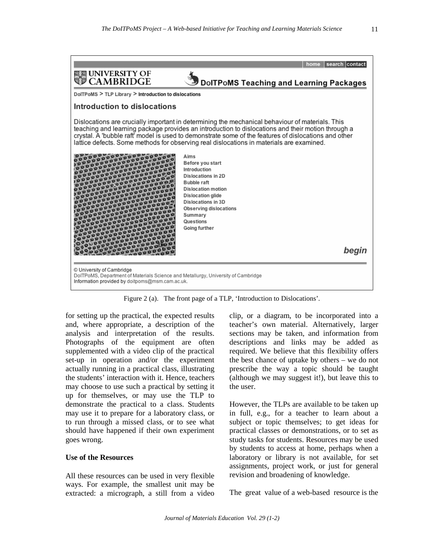

Figure 2 (a). The front page of a TLP, 'Introduction to Dislocations'.

for setting up the practical, the expected results and, where appropriate, a description of the analysis and interpretation of the results. Photographs of the equipment are often supplemented with a video clip of the practical set-up in operation and/or the experiment actually running in a practical class, illustrating the students' interaction with it. Hence, teachers may choose to use such a practical by setting it up for themselves, or may use the TLP to demonstrate the practical to a class. Students may use it to prepare for a laboratory class, or to run through a missed class, or to see what should have happened if their own experiment goes wrong.

#### **Use of the Resources**

All these resources can be used in very flexible ways. For example, the smallest unit may be extracted: a micrograph, a still from a video clip, or a diagram, to be incorporated into a teacher's own material. Alternatively, larger sections may be taken, and information from descriptions and links may be added as required. We believe that this flexibility offers the best chance of uptake by others – we do not prescribe the way a topic should be taught (although we may suggest it!), but leave this to the user.

However, the TLPs are available to be taken up in full, e.g., for a teacher to learn about a subject or topic themselves; to get ideas for practical classes or demonstrations, or to set as study tasks for students. Resources may be used by students to access at home, perhaps when a laboratory or library is not available, for set assignments, project work, or just for general revision and broadening of knowledge.

The great value of a web-based resource is the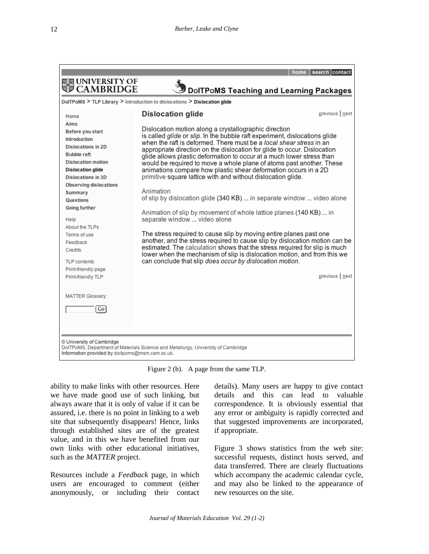

Figure 2 (b). A page from the same TLP.

ability to make links with other resources. Here we have made good use of such linking, but always aware that it is only of value if it can be assured, i.e. there is no point in linking to a web site that subsequently disappears! Hence, links through established sites are of the greatest value, and in this we have benefited from our own links with other educational initiatives, such as the *MATTER* project.

Resources include a *Feedback* page, in which users are encouraged to comment (either anonymously, or including their contact details). Many users are happy to give contact details and this can lead to valuable correspondence. It is obviously essential that any error or ambiguity is rapidly corrected and that suggested improvements are incorporated, if appropriate.

Figure 3 shows statistics from the web site: successful requests, distinct hosts served, and data transferred. There are clearly fluctuations which accompany the academic calendar cycle, and may also be linked to the appearance of new resources on the site.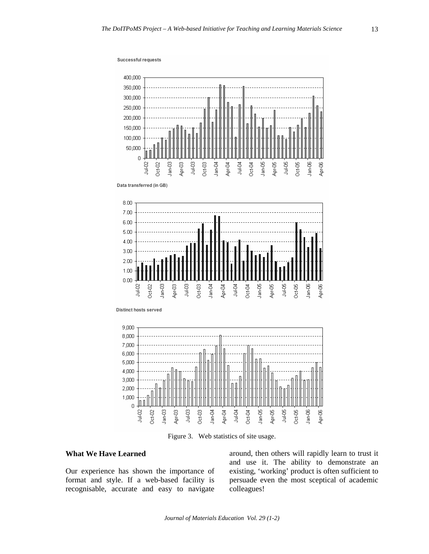

Figure 3. Web statistics of site usage.

## **What We Have Learned**

Our experience has shown the importance of format and style. If a web-based facility is recognisable, accurate and easy to navigate

around, then others will rapidly learn to trust it and use it. The ability to demonstrate an existing, 'working' product is often sufficient to persuade even the most sceptical of academic colleagues!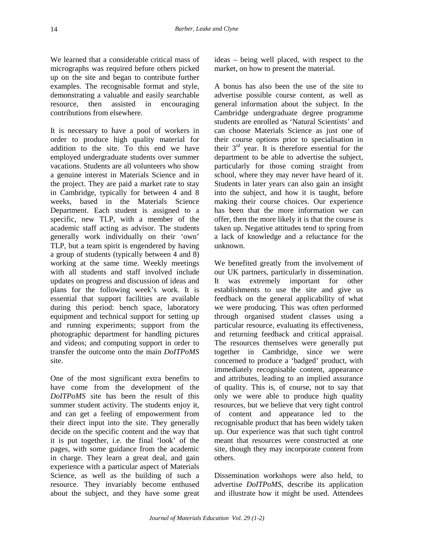We learned that a considerable critical mass of micrographs was required before others picked up on the site and began to contribute further examples. The recognisable format and style, demonstrating a valuable and easily searchable resource, then assisted in encouraging contributions from elsewhere.

It is necessary to have a pool of workers in order to produce high quality material for addition to the site. To this end we have employed undergraduate students over summer vacations. Students are all volunteers who show a genuine interest in Materials Science and in the project. They are paid a market rate to stay in Cambridge, typically for between 4 and 8 weeks, based in the Materials Science Department. Each student is assigned to a specific, new TLP, with a member of the academic staff acting as advisor. The students generally work individually on their 'own' TLP, but a team spirit is engendered by having a group of students (typically between 4 and 8) working at the same time. Weekly meetings with all students and staff involved include updates on progress and discussion of ideas and plans for the following week's work. It is essential that support facilities are available during this period: bench space, laboratory equipment and technical support for setting up and running experiments; support from the photographic department for handling pictures and videos; and computing support in order to transfer the outcome onto the main *DoITPoMS* site.

One of the most significant extra benefits to have come from the development of the *DoITPoMS* site has been the result of this summer student activity. The students enjoy it, and can get a feeling of empowerment from their direct input into the site. They generally decide on the specific content and the way that it is put together, i.e. the final 'look' of the pages, with some guidance from the academic in charge. They learn a great deal, and gain experience with a particular aspect of Materials Science, as well as the building of such a resource. They invariably become enthused about the subject, and they have some great ideas – being well placed, with respect to the market, on how to present the material.

A bonus has also been the use of the site to advertise possible course content, as well as general information about the subject. In the Cambridge undergraduate degree programme students are enrolled as 'Natural Scientists' and can choose Materials Science as just one of their course options prior to specialisation in their  $3<sup>rd</sup>$  year. It is therefore essential for the department to be able to advertise the subject, particularly for those coming straight from school, where they may never have heard of it. Students in later years can also gain an insight into the subject, and how it is taught, before making their course choices. Our experience has been that the more information we can offer, then the more likely it is that the course is taken up. Negative attitudes tend to spring from a lack of knowledge and a reluctance for the unknown.

We benefited greatly from the involvement of our UK partners, particularly in dissemination. It was extremely important for other establishments to use the site and give us feedback on the general applicability of what we were producing. This was often performed through organised student classes using a particular resource, evaluating its effectiveness, and returning feedback and critical appraisal. The resources themselves were generally put together in Cambridge, since we were concerned to produce a 'badged' product, with immediately recognisable content, appearance and attributes, leading to an implied assurance of quality. This is, of course, not to say that only we were able to produce high quality resources, but we believe that very tight control of content and appearance led to the recognisable product that has been widely taken up. Our experience was that such tight control meant that resources were constructed at one site, though they may incorporate content from others.

Dissemination workshops were also held, to advertise *DoITPoMS*, describe its application and illustrate how it might be used. Attendees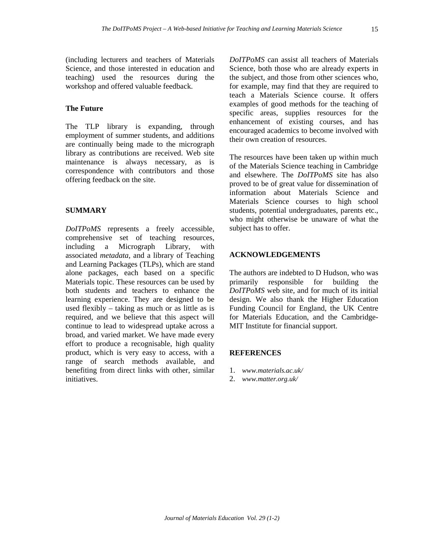(including lecturers and teachers of Materials Science, and those interested in education and teaching) used the resources during the workshop and offered valuable feedback.

### **The Future**

The TLP library is expanding, through employment of summer students, and additions are continually being made to the micrograph library as contributions are received. Web site maintenance is always necessary, as is correspondence with contributors and those offering feedback on the site.

#### **SUMMARY**

*DoITPoMS* represents a freely accessible, comprehensive set of teaching resources, including a Micrograph Library, with associated *metadata*, and a library of Teaching and Learning Packages (TLPs), which are stand alone packages, each based on a specific Materials topic. These resources can be used by both students and teachers to enhance the learning experience. They are designed to be used flexibly – taking as much or as little as is required, and we believe that this aspect will continue to lead to widespread uptake across a broad, and varied market. We have made every effort to produce a recognisable, high quality product, which is very easy to access, with a range of search methods available, and benefiting from direct links with other, similar initiatives.

*DoITPoMS* can assist all teachers of Materials Science, both those who are already experts in the subject, and those from other sciences who, for example, may find that they are required to teach a Materials Science course. It offers examples of good methods for the teaching of specific areas, supplies resources for the enhancement of existing courses, and has encouraged academics to become involved with their own creation of resources.

The resources have been taken up within much of the Materials Science teaching in Cambridge and elsewhere. The *DoITPoMS* site has also proved to be of great value for dissemination of information about Materials Science and Materials Science courses to high school students, potential undergraduates, parents etc., who might otherwise be unaware of what the subject has to offer.

## **ACKNOWLEDGEMENTS**

The authors are indebted to D Hudson, who was primarily responsible for building the *DoITPoMS* web site, and for much of its initial design. We also thank the Higher Education Funding Council for England, the UK Centre for Materials Education, and the Cambridge-MIT Institute for financial support.

#### **REFERENCES**

- 1. *www.materials.ac.uk/*
- 2. *www.matter.org.uk/*